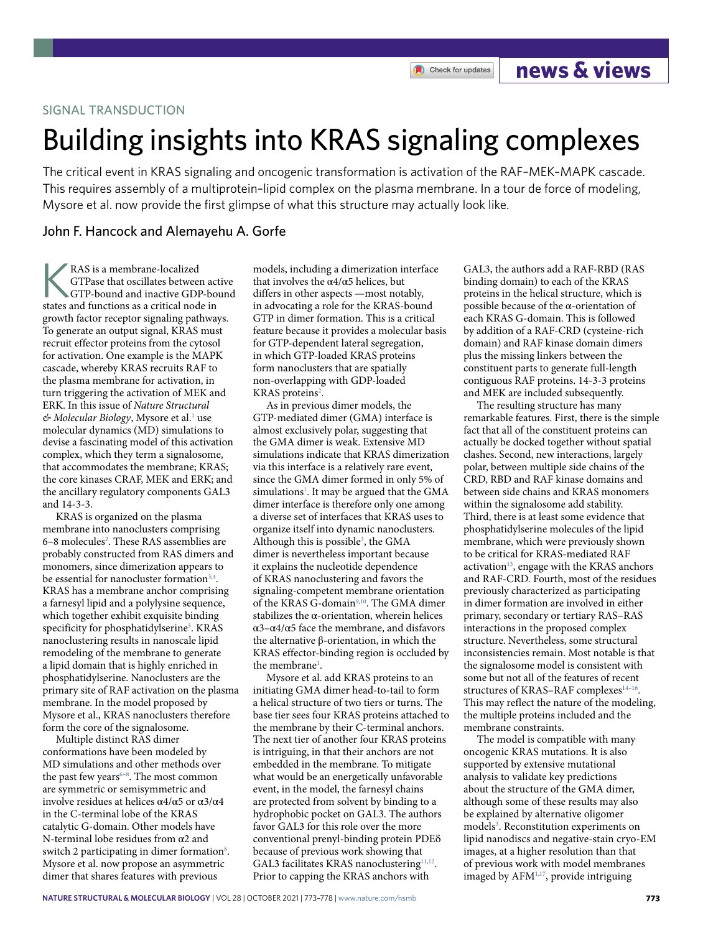### SIGNAL TRANSDUCTION

# Building insights into KRAS signaling complexes

Check for updates

The critical event in KRAS signaling and oncogenic transformation is activation of the RAF–MEK–MAPK cascade. This requires assembly of a multiprotein–lipid complex on the plasma membrane. In a tour de force of modeling, Mysore et al. now provide the frst glimpse of what this structure may actually look like.

## John F. Hancock and Alemayehu A. Gorfe

RAS is a membrane-localized<br>
GTPase that oscillates between active<br>
GTP-bound and inactive GDP-bound<br>
states and functions as a critical node in GTPase that oscillates between active states and functions as a critical node in growth factor receptor signaling pathways. To generate an output signal, KRAS must recruit effector proteins from the cytosol for activation. One example is the MAPK cascade, whereby KRAS recruits RAF to the plasma membrane for activation, in turn triggering the activation of MEK and ERK. In this issue of *Nature Structural*  & *Molecular Biology*, Mysore et al.<sup>1</sup> use molecular dynamics (MD) simulations to devise a fascinating model of this activation complex, which they term a signalosome, that accommodates the membrane; KRAS; the core kinases CRAF, MEK and ERK; and the ancillary regulatory components GAL3 and 14-3-3.

KRAS is organized on the plasma membrane into nanoclusters comprising 6-8 molecules<sup>2</sup>. These RAS assemblies are probably constructed from RAS dimers and monomers, since dimerization appears to be essential for nanocluster formation<sup>3,4</sup>. KRAS has a membrane anchor comprising a farnesyl lipid and a polylysine sequence, which together exhibit exquisite binding specificity for phosphatidylserine<sup>5</sup>. KRAS nanoclustering results in nanoscale lipid remodeling of the membrane to generate a lipid domain that is highly enriched in phosphatidylserine. Nanoclusters are the primary site of RAF activation on the plasma membrane. In the model proposed by Mysore et al., KRAS nanoclusters therefore form the core of the signalosome.

Multiple distinct RAS dimer conformations have been modeled by MD simulations and other methods over the past few years $6-8$ . The most common are symmetric or semisymmetric and involve residues at helices  $\alpha$ 4/α5 or  $\alpha$ 3/α4 in the C-terminal lobe of the KRAS catalytic G-domain. Other models have N-terminal lobe residues from α2 and switch 2 participating in dimer formation<sup>8</sup>. Mysore et al. now propose an asymmetric dimer that shares features with previous

models, including a dimerization interface that involves the  $\alpha$ 4/ $\alpha$ 5 helices, but differs in other aspects —most notably, in advocating a role for the KRAS-bound GTP in dimer formation. This is a critical feature because it provides a molecular basis for GTP-dependent lateral segregation, in which GTP-loaded KRAS proteins form nanoclusters that are spatially non-overlapping with GDP-loaded KRAS proteins<sup>2</sup>.

As in previous dimer models, the GTP-mediated dimer (GMA) interface is almost exclusively polar, suggesting that the GMA dimer is weak. Extensive MD simulations indicate that KRAS dimerization via this interface is a relatively rare event, since the GMA dimer formed in only 5% of simulations<sup>1</sup>. It may be argued that the GMA dimer interface is therefore only one among a diverse set of interfaces that KRAS uses to organize itself into dynamic nanoclusters. Although this is possible<sup>3</sup>, the GMA dimer is nevertheless important because it explains the nucleotide dependence of KRAS nanoclustering and favors the signaling-competent membrane orientation of the KRAS G-domain<sup>9,10</sup>. The GMA dimer stabilizes the  $\alpha$ -orientation, wherein helices α3–α4/α5 face the membrane, and disfavors the alternative β-orientation, in which the KRAS effector-binding region is occluded by the membrane<sup>1</sup>.

Mysore et al. add KRAS proteins to an initiating GMA dimer head-to-tail to form a helical structure of two tiers or turns. The base tier sees four KRAS proteins attached to the membrane by their C-terminal anchors. The next tier of another four KRAS proteins is intriguing, in that their anchors are not embedded in the membrane. To mitigate what would be an energetically unfavorable event, in the model, the farnesyl chains are protected from solvent by binding to a hydrophobic pocket on GAL3. The authors favor GAL3 for this role over the more conventional prenyl-binding protein PDEδ because of previous work showing that GAL3 facilitates KRAS nanoclustering<sup>11,12</sup>. Prior to capping the KRAS anchors with

GAL3, the authors add a RAF-RBD (RAS binding domain) to each of the KRAS proteins in the helical structure, which is possible because of the  $\alpha$ -orientation of each KRAS G-domain. This is followed by addition of a RAF-CRD (cysteine-rich domain) and RAF kinase domain dimers plus the missing linkers between the constituent parts to generate full-length contiguous RAF proteins. 14-3-3 proteins and MEK are included subsequently.

**news & views**

The resulting structure has many remarkable features. First, there is the simple fact that all of the constituent proteins can actually be docked together without spatial clashes. Second, new interactions, largely polar, between multiple side chains of the CRD, RBD and RAF kinase domains and between side chains and KRAS monomers within the signalosome add stability. Third, there is at least some evidence that phosphatidylserine molecules of the lipid membrane, which were previously shown to be critical for KRAS-mediated RAF activation $13$ , engage with the KRAS anchors and RAF-CRD. Fourth, most of the residues previously characterized as participating in dimer formation are involved in either primary, secondary or tertiary RAS–RAS interactions in the proposed complex structure. Nevertheless, some structural inconsistencies remain. Most notable is that the signalosome model is consistent with some but not all of the features of recent structures of KRAS–RAF complexes<sup>14–16</sup>. This may reflect the nature of the modeling, the multiple proteins included and the membrane constraints.

The model is compatible with many oncogenic KRAS mutations. It is also supported by extensive mutational analysis to validate key predictions about the structure of the GMA dimer, although some of these results may also be explained by alternative oligomer models<sup>3</sup>. Reconstitution experiments on lipid nanodiscs and negative-stain cryo-EM images, at a higher resolution than that of previous work with model membranes imaged by AFM1,17, provide intriguing